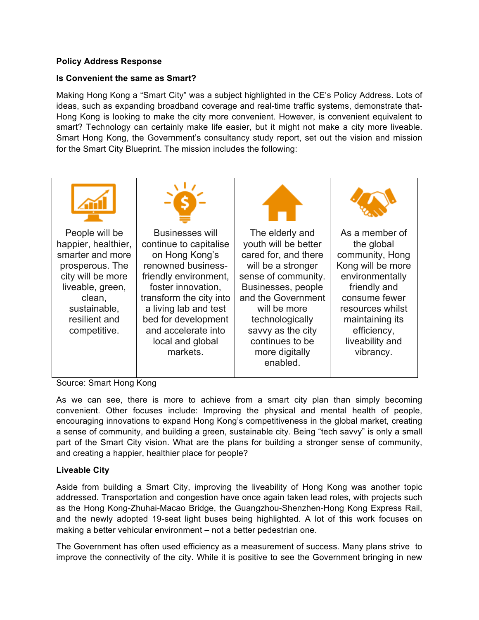## **Policy Address Response**

## **Is Convenient the same as Smart?**

Making Hong Kong a "Smart City" was a subject highlighted in the CE's Policy Address. Lots of ideas, such as expanding broadband coverage and real-time traffic systems, demonstrate that-Hong Kong is looking to make the city more convenient. However, is convenient equivalent to smart? Technology can certainly make life easier, but it might not make a city more liveable. Smart Hong Kong, the Government's consultancy study report, set out the vision and mission for the Smart City Blueprint. The mission includes the following:



Source: Smart Hong Kong

As we can see, there is more to achieve from a smart city plan than simply becoming convenient. Other focuses include: Improving the physical and mental health of people, encouraging innovations to expand Hong Kong's competitiveness in the global market, creating a sense of community, and building a green, sustainable city. Being "tech savvy" is only a small part of the Smart City vision. What are the plans for building a stronger sense of community, and creating a happier, healthier place for people?

## **Liveable City**

Aside from building a Smart City, improving the liveability of Hong Kong was another topic addressed. Transportation and congestion have once again taken lead roles, with projects such as the Hong Kong-Zhuhai-Macao Bridge, the Guangzhou-Shenzhen-Hong Kong Express Rail, and the newly adopted 19-seat light buses being highlighted. A lot of this work focuses on making a better vehicular environment – not a better pedestrian one.

The Government has often used efficiency as a measurement of success. Many plans strive to improve the connectivity of the city. While it is positive to see the Government bringing in new